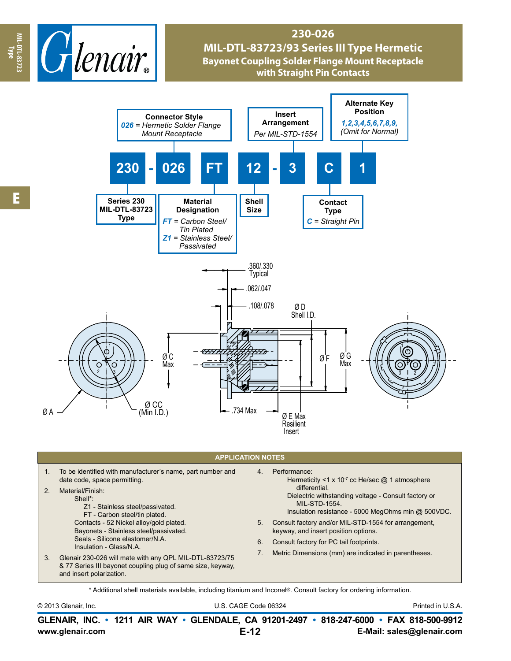

## **230-026 MIL-DTL-83723/93 Series III Type Hermetic Bayonet Coupling Solder Flange Mount Receptacle with Straight Pin Contacts**



## **APPLICATION NOTES**

|    | To be identified with manufacturer's name, part number and<br>date code, space permitting.<br>Material/Finish:<br>Shell*:<br>Z1 - Stainless steel/passivated.<br>FT - Carbon steel/tin plated.<br>Contacts - 52 Nickel alloy/gold plated.<br>Bayonets - Stainless steel/passivated. | 4.<br>5. | Performance:<br>Hermeticity <1 x 10 <sup>-7</sup> cc He/sec @ 1 atmosphere<br>differential.<br>Dielectric withstanding voltage - Consult factory or<br><b>MIL-STD-1554.</b><br>Insulation resistance - 5000 MegOhms min @ 500VDC.<br>Consult factory and/or MIL-STD-1554 for arrangement,<br>keyway, and insert position options. |  |  |
|----|-------------------------------------------------------------------------------------------------------------------------------------------------------------------------------------------------------------------------------------------------------------------------------------|----------|-----------------------------------------------------------------------------------------------------------------------------------------------------------------------------------------------------------------------------------------------------------------------------------------------------------------------------------|--|--|
| 3. | Seals - Silicone elastomer/N.A.<br>Insulation - Glass/N.A.<br>Glenair 230-026 will mate with any QPL MIL-DTL-83723/75<br>& 77 Series III bayonet coupling plug of same size, keyway,<br>and insert polarization.                                                                    | 6.       | Consult factory for PC tail footprints.                                                                                                                                                                                                                                                                                           |  |  |
|    |                                                                                                                                                                                                                                                                                     |          | Metric Dimensions (mm) are indicated in parentheses.                                                                                                                                                                                                                                                                              |  |  |

\* Additional shell materials available, including titanium and Inconel®. Consult factory for ordering information.

© 2013 Glenair, Inc. U.S. CAGE Code 06324 Printed in U.S.A.

**www.glenair.com E-Mail: sales@glenair.com GLENAIR, INC. • 1211 AIR WAY • GLENDALE, CA 91201-2497 • 818-247-6000 • FAX 818-500-9912 E-12**